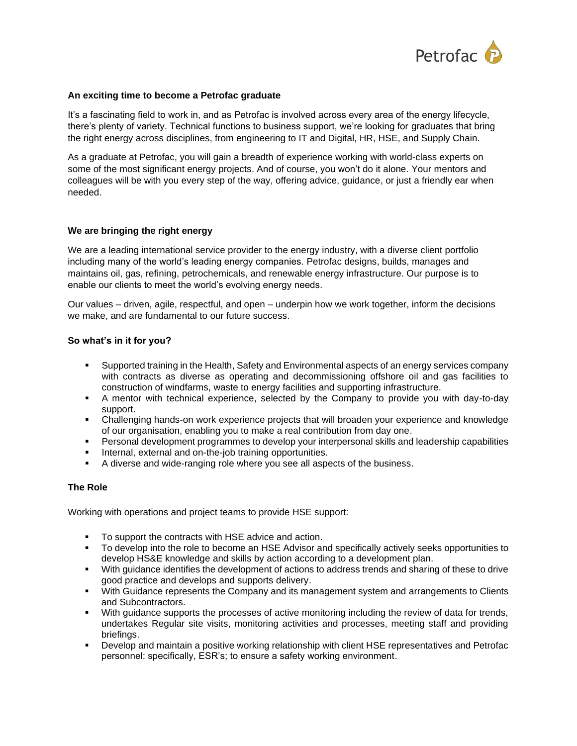

## **An exciting time to become a Petrofac graduate**

It's a fascinating field to work in, and as Petrofac is involved across every area of the energy lifecycle, there's plenty of variety. Technical functions to business support, we're looking for graduates that bring the right energy across disciplines, from engineering to IT and Digital, HR, HSE, and Supply Chain.

As a graduate at Petrofac, you will gain a breadth of experience working with world-class experts on some of the most significant energy projects. And of course, you won't do it alone. Your mentors and colleagues will be with you every step of the way, offering advice, guidance, or just a friendly ear when needed.

## **We are bringing the right energy**

We are a leading international service provider to the energy industry, with a diverse client portfolio including many of the world's leading energy companies. Petrofac designs, builds, manages and maintains oil, gas, refining, petrochemicals, and renewable energy infrastructure. Our purpose is to enable our clients to meet the world's evolving energy needs.

Our values – driven, agile, respectful, and open – underpin how we work together, inform the decisions we make, and are fundamental to our future success.

## **So what's in it for you?**

- Supported training in the Health, Safety and Environmental aspects of an energy services company with contracts as diverse as operating and decommissioning offshore oil and gas facilities to construction of windfarms, waste to energy facilities and supporting infrastructure.
- A mentor with technical experience, selected by the Company to provide you with day-to-day support.
- Challenging hands-on work experience projects that will broaden your experience and knowledge of our organisation, enabling you to make a real contribution from day one.
- Personal development programmes to develop your interpersonal skills and leadership capabilities
- Internal, external and on-the-job training opportunities.
- A diverse and wide-ranging role where you see all aspects of the business.

# **The Role**

Working with operations and project teams to provide HSE support:

- To support the contracts with HSE advice and action.
- To develop into the role to become an HSE Advisor and specifically actively seeks opportunities to develop HS&E knowledge and skills by action according to a development plan.
- With guidance identifies the development of actions to address trends and sharing of these to drive good practice and develops and supports delivery.
- With Guidance represents the Company and its management system and arrangements to Clients and Subcontractors.
- With guidance supports the processes of active monitoring including the review of data for trends, undertakes Regular site visits, monitoring activities and processes, meeting staff and providing briefings.
- Develop and maintain a positive working relationship with client HSE representatives and Petrofac personnel: specifically, ESR's; to ensure a safety working environment.